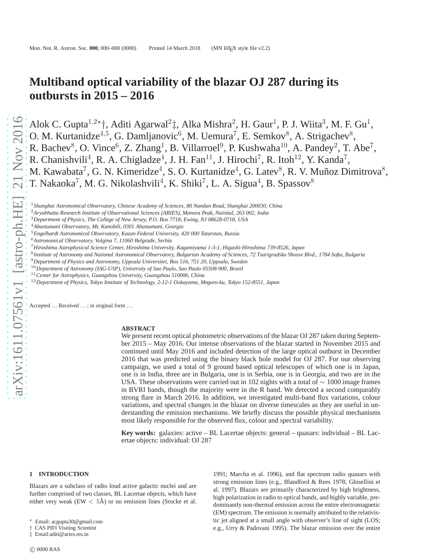# **Multiband optical variability of the blazar OJ 287 during its outbursts in 2015 – 2016**

Alok C. Gupta<sup>1,2\*</sup>†, Aditi Agarwal<sup>2</sup>‡, Alka Mishra<sup>2</sup>, H. Gaur<sup>1</sup>, P. J. Wiita<sup>3</sup>, M. F. Gu<sup>1</sup>, O. M. Kurtanidze<sup>4,5</sup>, G. Damljanovic<sup>6</sup>, M. Uemura<sup>7</sup>, E. Semkov<sup>8</sup>, A. Strigachev<sup>8</sup>, R. Bachev<sup>8</sup>, O. Vince<sup>6</sup>, Z. Zhang<sup>1</sup>, B. Villarroel<sup>9</sup>, P. Kushwaha<sup>10</sup>, A. Pandey<sup>2</sup>, T. Abe<sup>7</sup>, R. Chanishvili<sup>4</sup>, R. A. Chigladze<sup>4</sup>, J. H. Fan<sup>11</sup>, J. Hirochi<sup>7</sup>, R. Itoh<sup>12</sup>, Y. Kanda<sup>7</sup>, M. Kawabata<sup>7</sup>, G. N. Kimeridze<sup>4</sup>, S. O. Kurtanidze<sup>4</sup>, G. Latev<sup>8</sup>, R. V. Muñoz Dimitrova<sup>8</sup>, T. Nakaoka<sup>7</sup>, M. G. Nikolashvili<sup>4</sup>, K. Shiki<sup>7</sup>, L. A. Sigua<sup>4</sup>, B. Spassov<sup>8</sup>

<sup>1</sup>*Shanghai Astronomical Observatory, Chinese Academy of Sciences, 80 Nandan Road, Shanghai 200030, China*

<sup>11</sup>*Center for Astrophysics, Guangzhou University, Guangzhou 510006, China*

Accepted ... Received ...; in original form ...

#### **ABSTRACT**

We present recent optical photometric observations of the blazar OJ 287 taken during September 2015 – May 2016. Our intense observations of the blazar started in November 2015 and continued until May 2016 and included detection of the large optical outburst in December 2016 that was predicted using the binary black hole model for OJ 287. For our observing campaign, we used a total of 9 ground based optical telescopes of which one is in Japan, one is in India, three are in Bulgaria, one is in Serbia, one is in Georgia, and two are in the USA. These observations were carried out in 102 nights with a total of  $\sim 1000$  image frames in BVRI bands, though the majority were in the R band. We detected a second comparably strong flare in March 2016. In addition, we investigated multi-band flux variations, colour variations, and spectral changes in the blazar on diverse timescales as they are useful in understanding the emission mechanisms. We briefly discuss the possible physical mechanisms most likely responsible for the observed flux, colour and spectral variability.

**Key words:** galaxies: active – BL Lacertae objects: general – quasars: individual – BL Lacertae objects: individual: OJ 287

#### **1 INTRODUCTION**

Blazars are a subclass of radio loud active galactic nuclei and are further comprised of two classes, BL Lacertae objects, which have either very weak (EW  $< 5\text{\AA}$ ) or no emission lines (Stocke et al.

1991; Marcha et al. 1996), and flat spectrum radio quasars with strong emission lines (e.g., Blandford & Rees 1978; Ghisellini et al. 1997). Blazars are primarily characterized by high brightness, high polarization in radio to optical bands, and highly variable, predominantly non-thermal emission across the entire electromagnetic (EM) spectrum. The emission is normally attributed to the relativistic jet aligned at a small angle with observer's line of sight (LOS; e.g., Urry & Padovani 1995). The blazar emission over the entire

<sup>2</sup>*Aryabhatta Research Institute of Observational Sciences (ARIES), Manora Peak, Nainital, 263 002, India*

<sup>3</sup>*Department of Physics, The College of New Jersey, P.O. Box 7718, Ewing, NJ 08628-0718, USA*

<sup>4</sup>*Abastumani Observatory, Mt. Kanobili, 0301 Abastumani, Georgia*

<sup>5</sup>*Engelhardt Astronomical Observatory, Kazan Federal University, 420 000 Tatarstan, Russia*

<sup>6</sup>*Astronomical Observatory, Volgina 7, 11060 Belgrade, Serbia*

<sup>7</sup>*Hiroshima Astrophysical Science Center, Hiroshima University, Kagamiyama 1-3-1, Higashi-Hiroshima 739-8526, Japan*

<sup>8</sup> *Institute of Astronomy and National Astronomical Observatory, Bulgarian Academy of Sciences, 72 Tsarigradsko Shosse Blvd., 1784 Sofia, Bulgaria*

<sup>9</sup>*Department of Physics and Astronomy, Uppsala Universitet, Box 516, 751 20, Uppsala, Sweden*

<sup>10</sup>*Department of Astronomy (IAG-USP), University of Sao Paulo, Sao Paulo 05508-900, Brazil*

<sup>12</sup>*Department of Physics, Tokyo Institute of Technology, 2-12-1 Ookayama, Meguro-ku, Tokyo 152-8551, Japan*

<sup>⋆</sup> Email: acgupta30@gmail.com

<sup>†</sup> CAS PIFI Visiting Scientist ‡ Email:aditi@aries.res.in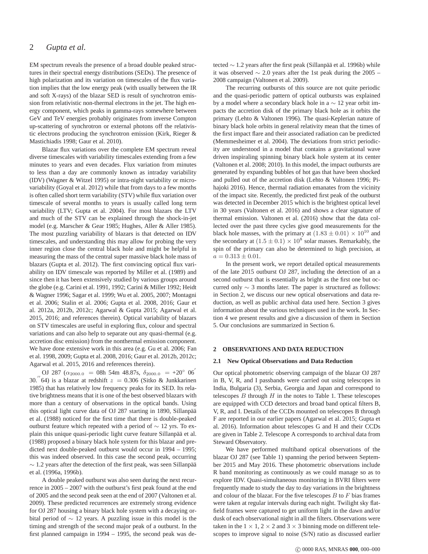EM spectrum reveals the presence of a broad double peaked structures in their spectral energy distributions (SEDs). The presence of high polarization and its variation on timescales of the flux variation implies that the low energy peak (with usually between the IR and soft X-rays) of the blazar SED is result of synchrotron emission from relativistic non-thermal electrons in the jet. The high energy component, which peaks in gamma-rays somewhere between GeV and TeV energies probably originates from inverse Compton up-scattering of synchrotron or external photons off the relativistic electrons producing the synchrotron emission (Kirk, Rieger & Mastichiadis 1998; Gaur et al. 2010).

Blazar flux variations over the complete EM spectrum reveal diverse timescales with variability timescales extending from a few minutes to years and even decades. Flux variation from minutes to less than a day are commonly known as intraday variability (IDV) (Wagner & Witzel 1995) or intra-night variability or microvariability (Goyal et al. 2012) while that from days to a few months is often called short term variability (STV) while flux variation over timescale of several months to years is usually called long term variability (LTV; Gupta et al. 2004). For most blazars the LTV and much of the STV can be explained through the shock-in-jet model (e.g. Marscher & Gear 1985; Hughes, Aller & Aller 1985). The most puzzling variability of blazars is that detected on IDV timescales, and understanding this may allow for probing the very inner region close the central black hole and might be helpful in measuring the mass of the central super massive black hole mass of blazars (Gupta et al. 2012). The first convincing optical flux variability on IDV timescale was reported by Miller et al. (1989) and since then it has been extensively studied by various groups around the globe (e.g. Carini et al. 1991, 1992; Carini & Miller 1992; Heidt & Wagner 1996; Sagar et al. 1999; Wu et al. 2005, 2007; Montagni et al. 2006; Stalin et al. 2006; Gupta et al. 2008, 2016; Gaur et al. 2012a, 2012b, 2012c; Agarwal & Gupta 2015; Agarwal et al. 2015, 2016; and references therein). Optical variability of blazars on STV timescales are useful in exploring flux, colour and spectral variations and can also help to separate out any quasi-thermal (e.g. accretion disc emission) from the nonthermal emission component. We have done extensive work in this area (e.g. Gu et al. 2006; Fan et al. 1998, 2009; Gupta et al. 2008, 2016; Gaur et al. 2012b, 2012c; Agarwal et al. 2015, 2016 and references therein).

OJ 287 ( $\alpha_{2000.0}$  = 08h 54m 48.87s,  $\delta_{2000.0}$  = +20° 06<sup>'</sup>  $30.$  (64) is a blazar at redshift  $z = 0.306$  (Sitko & Junkkarinen 1985) that has relatively low frequency peaks for its SED. Its relative brightness means that it is one of the best observed blazars with more than a century of observations in the optical bands. Using this optical light curve data of OJ 287 starting in 1890, Sillanpää et al. (1988) noticed for the first time that there is double-peaked outburst feature which repeated with a period of  $\sim$  12 yrs. To explain this unique quasi-periodic light curve feature Sillanpää et al. (1988) proposed a binary black hole system for this blazar and predicted next double-peaked outburst would occur in 1994 – 1995; this was indeed observed. In this case the second peak, occurring  $\sim$  1.2 years after the detection of the first peak, was seen Sillanpää et al. (1996a, 1996b).

A double peaked outburst was also seen during the next recurrence in 2005 – 2007 with the outburst's first peak found at the end of 2005 and the second peak seen at the end of 2007 (Valtonen et al. 2009). These predicted recurrences are extremely strong evidence for OJ 287 housing a binary black hole system with a decaying orbital period of ∼ 12 years. A puzzling issue in this model is the timing and strength of the second major peak of a outburst. In the first planned campaign in 1994 – 1995, the second peak was detected ∼ 1.2 years after the first peak (Sillanpää et al. 1996b) while it was observed ∼ 2.0 years after the 1st peak during the 2005 – 2008 campaign (Valtonen et al. 2009).

The recurring outbursts of this source are not quite periodic and the quasi-periodic pattern of optical outbursts was explained by a model where a secondary black hole in a  $\sim$  12 year orbit impacts the accretion disk of the primary black hole as it orbits the primary (Lehto & Valtonen 1996). The quasi-Keplerian nature of binary black hole orbits in general relativity mean that the times of the first impact flare and their associated radiation can be predicted (Memmesheimer et al. 2004). The deviations from strict periodicity are understood in a model that contains a gravitational wave driven inspiraling spinning binary black hole system at its center (Valtonen et al. 2008; 2010). In this model, the impact outbursts are generated by expanding bubbles of hot gas that have been shocked and pulled out of the accretion disk (Lehto & Valtonen 1996; Pihajoki 2016). Hence, thermal radiation emanates from the vicinity of the impact site. Recently, the predicted first peak of the outburst was detected in December 2015 which is the brightest optical level in 30 years (Valtonen et al. 2016) and shows a clear signature of thermal emission. Valtonen et al. (2016) show that the data collected over the past three cycles give good measurements for the black hole masses, with the primary at  $(1.83 \pm 0.01) \times 10^{10}$  and the secondary at  $(1.5 \pm 0.1) \times 10^8$  solar masses. Remarkably, the spin of the primary can also be determined to high precision, at  $a = 0.313 \pm 0.01.$ 

In the present work, we report detailed optical measurements of the late 2015 outburst OJ 287, including the detection of an a second outburst that is essentially as bright as the first one but occurred only  $\sim$  3 months later. The paper is structured as follows: in Section 2, we discuss our new optical observations and data reduction, as well as public archival data used here. Section 3 gives information about the various techniques used in the work. In Section 4 we present results and give a discussion of them in Section 5. Our conclusions are summarized in Section 6.

# **2 OBSERVATIONS AND DATA REDUCTION**

#### **2.1 New Optical Observations and Data Reduction**

Our optical photometric observing campaign of the blazar OJ 287 in B, V, R, and I passbands were carried out using telescopes in India, Bulgaria (3), Serbia, Georgia and Japan and correspond to telescopes  $B$  through  $H$  in the notes to Table 1. These telescopes are equipped with CCD detectors and broad band optical filters B, V, R, and I. Details of the CCDs mounted on telescopes B through F are reported in our earlier papers (Agarwal et al. 2015; Gupta et al. 2016). Information about telescopes G and H and their CCDs are given in Table 2. Telescope A corresponds to archival data from Steward Observatory.

We have performed multiband optical observations of the blazar OJ 287 (see Table 1) spanning the period between September 2015 and May 2016. These photometric observations include R band monitoring as continuously as we could manage so as to explore IDV. Quasi-simultaneous monitoring in BVRI filters were frequently made to study the day to day variations in the brightness and colour of the blazar. For the five telescopes  $B$  to  $F$  bias frames were taken at regular intervals during each night. Twilight sky flatfield frames were captured to get uniform light in the dawn and/or dusk of each observational night in all the filters. Observations were taken in the  $1 \times 1$ ,  $2 \times 2$  and  $3 \times 3$  binning mode on different telescopes to improve signal to noise (S/N) ratio as discussed earlier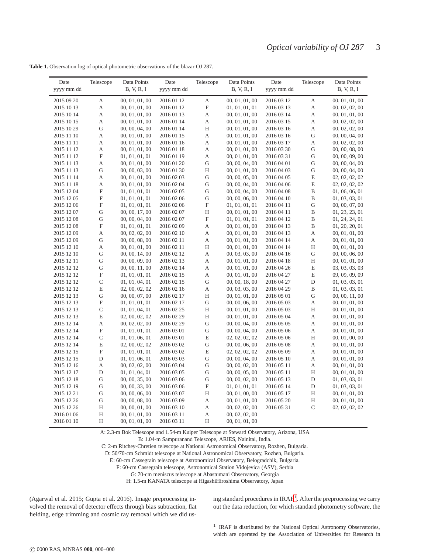| Date                     | Telescope                 | Data Points                      | Date                     | Telescope                 | Data Points                      | Date                     | Telescope         | Data Points                      |
|--------------------------|---------------------------|----------------------------------|--------------------------|---------------------------|----------------------------------|--------------------------|-------------------|----------------------------------|
| yyyy mm dd               |                           | B, V, R, I                       | yyyy mm dd               |                           | B, V, R, I                       | yyyy mm dd               |                   | B, V, R, I                       |
| 2015 09 20               | А                         | 00, 01, 01, 00                   | 2016 01 12               | $\mathbf A$               | 00, 01, 01, 00                   | 2016 03 12               | A                 | 00, 01, 01, 00                   |
| 2015 10 13               | А                         | 00, 01, 01, 00                   | 2016 01 12               | $\mathbf F$               | 01, 01, 01, 01                   | 2016 03 13               | A                 | 00, 02, 02, 00                   |
| 2015 10 14               | А                         | 00, 01, 01, 00                   | 2016 01 13               | $\boldsymbol{\mathsf{A}}$ | 00, 01, 01, 00                   | 2016 03 14               | A                 | 00, 01, 01, 00                   |
| 2015 10 15               | А                         | 00, 01, 01, 00                   | 2016 01 14               | $\mathbf A$               | 00, 01, 01, 00                   | 2016 03 15               | A                 | 00, 02, 02, 00                   |
| 2015 10 29               | G                         | 00, 00, 04, 00                   | 2016 01 14               | H                         | 00, 01, 01, 00                   | 2016 03 16               | A                 | 00, 02, 02, 00                   |
| 2015 11 10               | А                         | 00, 01, 01, 00                   | 2016 01 15               | $\mathbf A$               | 00, 01, 01, 00                   | 2016 03 16               | G                 | 00, 00, 04, 00                   |
| 2015 11 11               | А                         | 00, 01, 01, 00                   | 2016 01 16               | $\boldsymbol{\mathsf{A}}$ | 00, 01, 01, 00                   | 2016 03 17               | A                 | 00, 02, 02, 00                   |
| 2015 11 12               | А                         | 00, 01, 01, 00                   | 2016 01 18               | $\boldsymbol{\mathsf{A}}$ | 00, 01, 01, 00                   | 2016 03 30               | G                 | 00, 00, 08, 00                   |
| 2015 11 12               | $\boldsymbol{\mathrm{F}}$ | 01, 01, 01, 01                   | 2016 01 19               | $\boldsymbol{\mathsf{A}}$ | 00, 01, 01, 00                   | 2016 03 31               | G                 | 00, 00, 09, 00                   |
| 2015 11 13               | А                         | 00, 01, 01, 00                   | 2016 01 20               | $\mathbf G$               | 00, 00, 04, 00                   | 2016 04 01               | G                 | 00, 00, 04, 00                   |
| 2015 11 13               | G                         | 00, 00, 03, 00                   | 2016 01 30               | H                         | 00, 01, 01, 00                   | 2016 04 03               | G                 | 00, 00, 04, 00                   |
| 2015 11 14               | А                         | 00, 01, 01, 00                   | 2016 02 03               | ${\bf G}$                 | 00, 00, 05, 00                   | 2016 04 05               | E                 | 02, 02, 02, 02                   |
| 2015 11 18               | А                         | 00, 01, 01, 00                   | 2016 02 04               | G                         | 00, 00, 04, 00                   | 2016 04 06               | E                 | 02, 02, 02, 02                   |
| 2015 12 04               | $\boldsymbol{\mathrm{F}}$ | 01, 01, 01, 01                   | 2016 02 05               | ${\bf G}$                 | 00, 00, 04, 00                   | 2016 04 08               | $\, {\bf B}$      | 01, 06, 06, 01                   |
| 2015 12 05               | $\boldsymbol{\mathrm{F}}$ | 01, 01, 01, 01                   | 2016 02 06               | ${\bf G}$                 | 00, 00, 06, 00                   | 2016 04 10               | B                 | 01, 03, 03, 01                   |
| 2015 12 06               | $\boldsymbol{\mathrm{F}}$ | 01, 01, 01, 01                   | 2016 02 06               | $\mathbf F$               | 01, 01, 01, 01                   | 2016 04 11               | G                 | 00, 00, 07, 00                   |
| 2015 12 07               | G                         | 00, 00, 17, 00                   | 2016 02 07               | H                         | 00, 01, 01, 00                   | 2016 04 11               | B                 | 01, 23, 23, 01                   |
| 2015 12 08               | G                         | 00, 00, 04, 00                   | 2016 02 07               | $\mathbf F$               | 01, 01, 01, 01                   | 2016 04 12               | B                 | 01, 24, 24, 01                   |
| 2015 12 08               | $\boldsymbol{\mathrm{F}}$ | 01, 01, 01, 01                   | 2016 02 09               | $\boldsymbol{\mathsf{A}}$ | 00, 01, 01, 00                   | 2016 04 13               | B                 | 01, 20, 20, 01                   |
| 2015 12 09               | А                         | 00, 02, 02, 00                   | 2016 02 10               | A                         | 00, 01, 01, 00                   | 2016 04 13               | A                 | 00, 01, 01, 00                   |
| 2015 12 09               | G                         | 00, 00, 08, 00                   | 2016 02 11               | A                         | 00, 01, 01, 00                   | 2016 04 14               | А                 | 00, 01, 01, 00                   |
| 2015 12 10               | А                         | 00, 01, 01, 00                   | 2016 02 11               | $\rm H$                   | 00, 01, 01, 00                   | 2016 04 14               | H                 | 00, 01, 01, 00                   |
| 2015 12 10               | G                         | 00, 00, 14, 00                   | 2016 02 12               | A                         | 00, 03, 03, 00                   | 2016 04 16               | G                 | 00, 00, 06, 00                   |
| 2015 12 11               | G                         | 00, 00, 09, 00                   | 2016 02 13               | A                         | 00, 01, 01, 00                   | 2016 04 18               | H                 | 00, 01, 01, 00                   |
| 2015 12 12               | G                         | 00, 00, 11, 00                   | 2016 02 14               | A                         | 00, 01, 01, 00                   | 2016 04 26               | $\mathbf E$       | 03, 03, 03, 03                   |
| 2015 12 12               | F                         | 01, 01, 01, 01                   | 2016 02 15               | A                         | 00, 01, 01, 00                   | 2016 04 27               | E                 | 09, 09, 09, 09                   |
| 2015 12 12               | $\mathsf{C}$              | 01, 01, 04, 01                   | 2016 02 15               | ${\bf G}$                 | 00, 00, 18, 00                   | 2016 04 27               | D                 | 01, 03, 03, 01                   |
| 2015 12 12               | E                         | 02, 00, 02, 02                   | 2016 02 16               | А                         | 00, 03, 03, 00                   | 2016 04 29               | B                 | 01, 03, 03, 01                   |
| 2015 12 13               | G                         | 00, 00, 07, 00                   | 2016 02 17               | H                         | 00, 01, 01, 00                   | 2016 05 01               | G                 | 00, 00, 11, 00                   |
| 2015 12 13               | $\boldsymbol{\mathrm{F}}$ | 01, 01, 01, 01                   | 2016 02 17               | ${\bf G}$                 | 00, 00, 06, 00                   | 2016 05 03               | A                 | 00, 01, 01, 00                   |
| 2015 12 13               | C                         | 01, 01, 04, 01                   | 2016 02 25               | H                         | 00, 01, 01, 00                   | 2016 05 03               | H                 | 00, 01, 01, 00                   |
| 2015 12 13               | E                         | 02, 00, 02, 02                   | 2016 02 29               | H                         | 00, 01, 01, 00                   | 2016 05 04               | A                 | 00, 01, 01, 00                   |
| 2015 12 14               | А                         | 00, 02, 02, 00                   | 2016 02 29               | ${\bf G}$                 | 00, 00, 04, 00                   | 2016 05 05               | A                 | 00, 01, 01, 00                   |
| 2015 12 14               | $\boldsymbol{\mathrm{F}}$ | 01, 01, 01, 01                   | 2016 03 01               | ${\bf G}$                 | 00, 00, 04, 00                   | 2016 05 06               | А                 | 00, 01, 01, 00                   |
| 2015 12 14               | $\mathsf{C}$              | 01, 01, 06, 01                   | 2016 03 01               | $\mathbf E$               | 02, 02, 02, 02                   | 2016 05 06               | Η                 | 00, 01, 00, 00                   |
| 2015 12 14               | E                         | 02, 00, 02, 02                   | 2016 03 02               | G                         | 00, 00, 06, 00                   | 2016 05 08               | А                 | 00, 01, 01, 00                   |
| 2015 12 15               | $\boldsymbol{\mathrm{F}}$ | 01, 01, 01, 01                   | 2016 03 02               | $\mathbf E$               | 02, 02, 02, 02                   | 2016 05 09               | A                 | 00, 01, 01, 00                   |
| 2015 12 15               | $\mathbf D$               | 01, 01, 06, 01                   | 2016 03 03               | ${\bf G}$                 | 00, 00, 04, 00                   | 2016 05 10               | А                 | 00, 01, 01, 00                   |
| 2015 12 16               | А                         | 00, 02, 02, 00                   | 2016 03 04               | G                         | 00, 00, 02, 00                   | 2016 05 11               | А                 | 00, 01, 01, 00                   |
| 2015 12 17               | $\mathbf D$               | 01, 01, 04, 01                   | 2016 03 05               | ${\bf G}$                 | 00, 00, 05, 00                   | 2016 05 11               | H                 | 00, 01, 01, 00                   |
| 2015 12 18               | G                         | 00, 00, 35, 00                   | 2016 03 06               | G                         | 00, 00, 02, 00                   | 2016 05 13               | D                 | 01, 03, 03, 01                   |
| 2015 12 19               | G                         | 00, 00, 33, 00                   | 2016 03 06               | $\mathbf F$               | 01, 01, 01, 01                   | 2016 05 14               | D                 | 01, 03, 03, 01                   |
| 2015 12 21               | G                         | 00, 00, 06, 00                   | 2016 03 07               | Η                         | 00, 01, 00, 00                   | 2016 05 17               | H                 | 00, 01, 01, 00                   |
| 2015 12 26<br>2015 12 26 | G<br>H                    | 00, 00, 08, 00<br>00, 00, 01, 00 | 2016 03 09<br>2016 03 10 | A<br>A                    | 00, 01, 01, 00<br>00, 02, 02, 00 | 2016 05 20<br>2016 05 31 | H<br>$\mathsf{C}$ | 00, 01, 01, 00<br>02, 02, 02, 02 |
| 2016 01 06               | $\rm H$                   | 00, 01, 01, 00                   | 2016 03 11               | A                         | 00, 02, 02, 00                   |                          |                   |                                  |
| 2016 01 10               | H                         | 00, 01, 01, 00                   | 2016 03 11               | Н                         | 00, 01, 01, 00                   |                          |                   |                                  |
|                          |                           |                                  |                          |                           |                                  |                          |                   |                                  |

**Table 1.** Observation log of optical photometric observations of the blazar OJ 287.

A: 2.3-m Bok Telescope and 1.54-m Kuiper Telescope at Steward Observatory, Arizona, USA

B: 1.04-m Sampuranand Telescope, ARIES, Nainital, India.

C: 2-m Ritchey-Chretien telescope at National Astronomical Observatory, Rozhen, Bulgaria.

D: 50/70-cm Schmidt telescope at National Astronomical Observatory, Rozhen, Bulgaria.

E: 60-cm Cassegrain telescope at Astronomical Observatory, Belogradchik, Bulgaria.

F: 60-cm Cassegrain telescope, Astronomical Station Vidojevica (ASV), Serbia

G: 70-cm meniscus telescope at Abastumani Observatory, Georgia

H: 1.5-m KANATA telescope at HigashiHiroshima Observatory, Japan

(Agarwal et al. 2015; Gupta et al. 2016). Image preprocessing involved the removal of detector effects through bias subtraction, flat fielding, edge trimming and cosmic ray removal which we did us-

ing standard procedures in  $IRAF<sup>1</sup>$  $IRAF<sup>1</sup>$  $IRAF<sup>1</sup>$ . After the preprocessing we carry out the data reduction, for which standard photometry software, the

<span id="page-2-0"></span><sup>1</sup> IRAF is distributed by the National Optical Astronomy Observatories, which are operated by the Association of Universities for Research in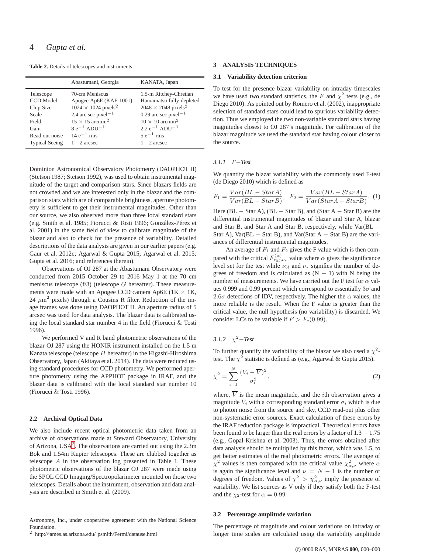**Table 2.** Details of telescopes and instruments

|                                                                                 | Abastumani, Georgia                                                                                                                                                                                                       | KANATA, Japan                                                                                                                                                                                                                          |
|---------------------------------------------------------------------------------|---------------------------------------------------------------------------------------------------------------------------------------------------------------------------------------------------------------------------|----------------------------------------------------------------------------------------------------------------------------------------------------------------------------------------------------------------------------------------|
| Telescope<br>CCD Model<br>Chip Size<br>Scale<br>Field<br>Gain<br>Read out noise | 70-cm Meniscus<br>Apogee Ap6E (KAF-1001)<br>$1024 \times 1024$ pixels <sup>2</sup><br>2.4 arc sec pixel <sup><math>-1</math></sup><br>$15 \times 15$ arcmin <sup>2</sup><br>$8e^{-1}$ ADU <sup>-1</sup><br>$14e^{-1}$ rms | 1.5-m Ritchey-Chretian<br>Hamamatsu fully-depleted<br>$2048 \times 2048$ pixels <sup>2</sup><br>0.29 arc sec pixel <sup><math>-1</math></sup><br>$10 \times 10$ arcmin <sup>2</sup><br>$2.2 e^{-1}$ ADU <sup>-1</sup><br>$5e^{-1}$ rms |
| <b>Typical Seeing</b>                                                           | $1 - 2$ arcsec                                                                                                                                                                                                            | $1 - 2$ arcsec                                                                                                                                                                                                                         |

Dominion Astronomical Observatory Photometry (DAOPHOT II) (Stetson 1987; Stetson 1992), was used to obtain instrumental magnitude of the target and comparison stars. Since blazars fields are not crowded and we are interested only in the blazar and the comparison stars which are of comparable brightness, aperture photometry is sufficient to get their instrumental magnitudes. Other than our source, we also observed more than three local standard stars (e.g. Smith et al. 1985; Fiorucci & Tosti 1996; González-Pérez et al. 2001) in the same field of view to calibrate magnitude of the blazar and also to check for the presence of variability. Detailed descriptions of the data analysis are given in our earlier papers (e.g. Gaur et al. 2012c; Agarwal & Gupta 2015; Agarwal et al. 2015; Gupta et al. 2016; and references therein).

Observations of OJ 287 at the Abastumani Observatory were conducted from 2015 October 29 to 2016 May 1 at the 70 cm meniscus telescope  $(f/3)$  (telescope  $G$  hereafter). These measurements were made with an Apogee CCD camera Ap6E ( $1K \times 1K$ , 24  $\mu$ m<sup>2</sup> pixels) through a Cousins R filter. Reduction of the image frames was done using DAOPHOT II. An aperture radius of 5 arcsec was used for data analysis. The blazar data is calibrated using the local standard star number 4 in the field (Fiorucci & Tosti 1996).

We performed V and R band photometric observations of the blazar OJ 287 using the HONIR instrument installed on the 1.5 m Kanata telescope (telescope  $H$  hereafter) in the Higashi-Hiroshima Observatory, Japan (Akitaya et al. 2014). The data were reduced using standard procedures for CCD photometry. We performed aperture photometry using the APPHOT package in IRAF, and the blazar data is calibrated with the local standard star number 10 (Fiorucci & Tosti 1996).

#### **2.2 Archival Optical Data**

We also include recent optical photometric data taken from an archive of observations made at Steward Observatory, University of Arizona,  $USA^2$  $USA^2$ . The observations are carried out using the 2.3m Bok and 1.54m Kupier telescopes. These are clubbed together as telescope A in the observation log presented in Table 1. These photometric observations of the blazar OJ 287 were made using the SPOL CCD Imaging/Spectropolarimeter mounted on those two telescopes. Details about the instrument, observation and data analysis are described in Smith et al. (2009).

Astronomy, Inc., under cooperative agreement with the National Science Foundation.

<span id="page-3-0"></span> $^2\,$ http://james.as.arizona.edu/ psmith/Fermi/datause.html

# **3 ANALYSIS TECHNIQUES**

#### **3.1 Variability detection criterion**

To test for the presence blazar variability on intraday timescales we have used two standard statistics, the F and  $\chi^2$  tests (e.g., de Diego 2010). As pointed out by Romero et al. (2002), inappropriate selection of standard stars could lead to spurious variability detection. Thus we employed the two non-variable standard stars having magnitudes closest to OJ 287's magnitude. For calibration of the blazar magnitude we used the standard star having colour closer to the source.

#### *3.1.1 F*−*Test*

We quantify the blazar variability with the commonly used F-test (de Diego 2010) which is defined as

$$
F_1 = \frac{Var(BL - StarA)}{Var(BL - StarB)}, \ \ F_2 = \frac{Var(BL - StarA)}{Var(StarA - StarB)}.
$$
 (1)

Here  $(BL - Star A)$ ,  $(BL - Star B)$ , and  $(Star A - Star B)$  are the differential instrumental magnitudes of blazar and Star A, blazar and Star B, and Star A and Star B, respectively, while Var(BL − Star A), Var( $BL - Star B$ ), and Var(Star A – Star B) are the variances of differential instrumental magnitudes.

An average of  $F_1$  and  $F_2$  gives the F value which is then compared with the critical  $F_{\nu_{bl},\nu_{*}}^{(\alpha)}$  value where  $\alpha$  gives the significance level set for the test while  $\nu_{bl}$  and  $\nu_*$  signifies the number of degrees of freedom and is calculated as  $(N - 1)$  with N being the number of measurements. We have carried out the F test for  $\alpha$  values 0.999 and 0.99 percent which correspond to essentially  $3\sigma$  and 2.6 $\sigma$  detections of IDV, respectively. The higher the  $\alpha$  values, the more reliable is the result. When the F value is greater than the critical value, the null hypothesis (no variability) is discarded. We consider LCs to be variable if  $F > F_c(0.99)$ .

 $3.1.2 \quad \chi^2 - Test$ 

To further quantify the variability of the blazar we also used a  $\chi^2$ test. The  $\chi^2$  statistic is defined as (e.g., Agarwal & Gupta 2015).

$$
\chi^2 = \sum_{i=1}^N \frac{(V_i - \overline{V})^2}{\sigma_i^2},\tag{2}
$$

where,  $\overline{V}$  is the mean magnitude, and the *i*th observation gives a magnitude  $V_i$  with a corresponding standard error  $\sigma_i$  which is due to photon noise from the source and sky, CCD read-out plus other non-systematic error sources. Exact calculation of these errors by the IRAF reduction package is impractical. Theoretical errors have been found to be larger than the real errors by a factor of  $1.3 - 1.75$ (e.g., Gopal-Krishna et al. 2003). Thus, the errors obtained after data analysis should be multiplied by this factor, which was 1.5, to get better estimates of the real photometric errors. The average of  $\chi^2$  values is then compared with the critical value  $\chi^2_{\alpha,\nu}$  where  $\alpha$ is again the significance level and  $\nu = N - 1$  is the number of degrees of freedom. Values of  $\chi^2 > \chi^2_{\alpha,\nu}$  imply the presence of variability. We list sources as V only if they satisfy both the F-test and the  $\chi_2$ -test for  $\alpha = 0.99$ .

#### **3.2 Percentage amplitude variation**

The percentage of magnitude and colour variations on intraday or longer time scales are calculated using the variability amplitude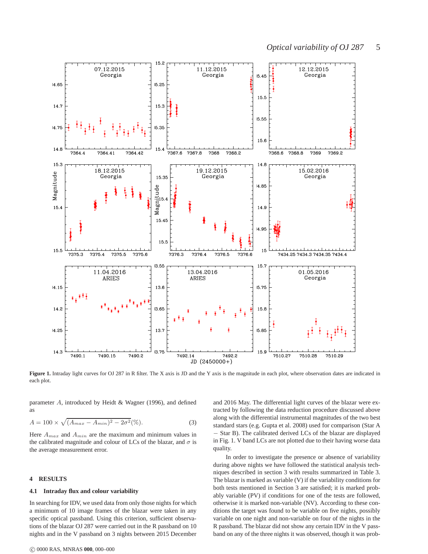

Figure 1. Intraday light curves for OJ 287 in R filter. The X axis is JD and the Y axis is the magnitude in each plot, where observation dates are indicated in each plot.

parameter A, introduced by Heidt & Wagner (1996), and defined as

$$
A = 100 \times \sqrt{(A_{max} - A_{min})^2 - 2\sigma^2} (\%).
$$
 (3)

Here  $A_{max}$  and  $A_{min}$  are the maximum and minimum values in the calibrated magnitude and colour of LCs of the blazar, and  $\sigma$  is the average measurement error.

## **4 RESULTS**

#### **4.1 Intraday flux and colour variability**

In searching for IDV, we used data from only those nights for which a minimum of 10 image frames of the blazar were taken in any specific optical passband. Using this criterion, sufficient observations of the blazar OJ 287 were carried out in the R passband on 10 nights and in the V passband on 3 nights between 2015 December

c 0000 RAS, MNRAS **000**, 000–000

and 2016 May. The differential light curves of the blazar were extracted by following the data reduction procedure discussed above along with the differential instrumental magnitudes of the two best standard stars (e.g. Gupta et al. 2008) used for comparison (Star A − Star B). The calibrated derived LCs of the blazar are displayed in Fig. 1. V band LCs are not plotted due to their having worse data quality.

In order to investigate the presence or absence of variability during above nights we have followed the statistical analysis techniques described in section 3 with results summarized in Table 3. The blazar is marked as variable (V) if the variability conditions for both tests mentioned in Section 3 are satisfied; it is marked probably variable (PV) if conditions for one of the tests are followed, otherwise it is marked non-variable (NV). According to these conditions the target was found to be variable on five nights, possibly variable on one night and non-variable on four of the nights in the R passband. The blazar did not show any certain IDV in the V passband on any of the three nights it was observed, though it was prob-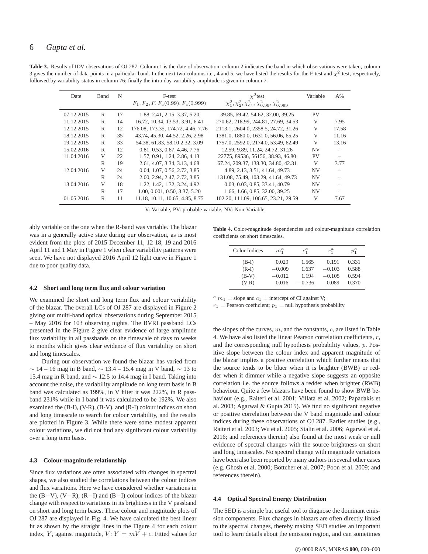| Date       | <b>Band</b> | N  | F-test<br>$F_1, F_2, F, F_c(0.99), F_c(0.999)$ | $\chi^2$ test<br>$\chi_1^2, \chi_2^2, \chi_{av}^2, \chi_{0.99}^2, \chi_{0.999}^2$ | Variable  | $A\%$ |
|------------|-------------|----|------------------------------------------------|-----------------------------------------------------------------------------------|-----------|-------|
| 07.12.2015 | R           | 17 | 1.88, 2.41, 2.15, 3.37, 5.20                   | 39.85, 69.42, 54.62, 32.00, 39.25                                                 | <b>PV</b> |       |
| 11.12.2015 | R           | 14 | 16.72, 10.34, 13.53, 3.91, 6.41                | 270.62, 218.99, 244.81, 27.69, 34.53                                              | V         | 7.95  |
| 12.12.2015 | R           | 12 | 176.08, 173.35, 174.72, 4.46, 7.76             | 2113.1, 2604.0, 2358.5, 24.72, 31.26                                              | V         | 17.58 |
| 18.12.2015 | R           | 35 | 43.74, 45.30, 44.52, 2.26, 2.98                | 1381.0, 1880.0, 1631.0, 56.06, 65.25                                              | V         | 11.16 |
| 19.12.2015 | R           | 33 | 54.38, 61.83, 58.10 2.32, 3.09                 | 1757.0, 2592.0, 2174.0, 53.49, 62.49                                              | V         | 13.16 |
| 15.02.2016 | R           | 12 | 0.81, 0.53, 0.67, 4.46, 7.76                   | 12.59, 9.89, 11.24, 24.72, 31.26                                                  | <b>NV</b> |       |
| 11.04.2016 | V           | 22 | 1.57, 0.91, 1.24, 2.86, 4.13                   | 22775, 89536, 56156, 38.93, 46.80                                                 | <b>PV</b> |       |
|            | R           | 19 | 2.61, 4.07, 3.34, 3.13, 4.68                   | 67.24, 209.37, 138.30, 34.80, 42.31                                               | V         | 3.77  |
| 12.04.2016 | V           | 24 | 0.04, 1.07, 0.56, 2.72, 3.85                   | 4.89, 2.13, 3.51, 41.64, 49.73                                                    | <b>NV</b> |       |
|            | R           | 24 | 2.00, 2.94, 2.47, 2.72, 3.85                   | 131.08, 75.49, 103.29, 41.64, 49.73                                               | <b>NV</b> |       |
| 13.04.2016 | V           | 18 | 1.22, 1.42, 1.32, 3.24, 4.92                   | 0.03, 0.03, 0.85, 33.41, 40.79                                                    | <b>NV</b> |       |
|            | R           | 17 | 1.00, 0.001, 0.50, 3.37, 5.20                  | 1.66, 1.66, 0.85, 32.00, 39.25                                                    | <b>NV</b> |       |
| 01.05.2016 | R           | 11 | 11.18. 10.11. 10.65. 4.85. 8.75                | 102.20, 111.09, 106.65, 23.21, 29.59                                              | V         | 7.67  |

Table 3. Results of IDV observations of OJ 287. Column 1 is the date of observation, column 2 indicates the band in which observations were taken, column 3 gives the number of data points in a particular band. In the next two columns i.e., 4 and 5, we have listed the results for the F-test and  $\chi^2$ -test, respectively, followed by variability status in column 76; finally the intra-day variability amplitude is given in column 7.

V: Variable, PV: probable variable, NV: Non-Variable

ably variable on the one when the R-band was variable. The blazar was in a generally active state during our observation, as is most evident from the plots of 2015 December 11, 12 18, 19 and 2016 April 11 and 1 May in Figure 1 when clear variability patterns were seen. We have not displayed 2016 April 12 light curve in Figure 1 due to poor quality data.

#### **4.2 Short and long term flux and colour variation**

We examined the short and long term flux and colour variability of the blazar. The overall LCs of OJ 287 are displayed in Figure 2 giving our multi-band optical observations during September 2015 – May 2016 for 103 observing nights. The BVRI passband LCs presented in the Figure 2 give clear evidence of large amplitude flux variability in all passbands on the timescale of days to weeks to months which gives clear evidence of flux variability on short and long timescales.

During our observation we found the blazar has varied from  $\sim$  14 – 16 mag in B band,  $\sim$  13.4 – 15.4 mag in V band,  $\sim$  13 to 15.4 mag in R band, and ∼ 12.5 to 14.4 mag in I band. Taking into account the noise, the variability amplitude on long term basis in B band was calculated as 199%, in V filter it was 222%, in R passband 231% while in I band it was calculated to be 192%. We also examined the (B-I), (V-R), (B-V), and (R-I) colour indices on short and long timescale to search for colour variability, and the results are plotted in Figure 3. While there were some modest apparent colour variations, we did not find any significant colour variability over a long term basis.

#### **4.3 Colour-magnitude relationship**

Since flux variations are often associated with changes in spectral shapes, we also studied the correlations between the colour indices and flux variations. Here we have considered whether variations in the (B−V), (V−R), (R−I) and (B−I) colour indices of the blazar change with respect to variations in its brightness in the V passband on short and long term bases. These colour and magnitude plots of OJ 287 are displayed in Fig. 4. We have calculated the best linear fit as shown by the straight lines in the Figure 4 for each colour index, Y, against magnitude,  $V: Y = mV + c$ . Fitted values for

**Table 4.** Color-magnitude dependencies and colour-magnitude correlation coefficients on short timescales.

| Color Indices | $m_1^a$  | $c_1^a$  | $r_i^a$  | $p_1^a$ |  |
|---------------|----------|----------|----------|---------|--|
| $(B-I)$       | 0.029    | 1.565    | 0.191    | 0.331   |  |
| $(R-I)$       | $-0.009$ | 1.637    | $-0.103$ | 0.588   |  |
| $(B-V)$       | $-0.012$ | 1.194    | $-0.105$ | 0.594   |  |
| $(V-R)$       | 0.016    | $-0.736$ | 0.089    | 0.370   |  |

 $a_{m_1}$  = slope and  $c_1$  = intercept of CI against V;

 $r_1$  = Pearson coefficient;  $p_1$  = null hypothesis probability

the slopes of the curves,  $m$ , and the constants,  $c$ , are listed in Table 4. We have also listed the linear Pearson correlation coefficients, r, and the corresponding null hypothesis probability values, p. Positive slope between the colour index and apparent magnitude of the blazar implies a positive correlation which further means that the source tends to be bluer when it is brighter (BWB) or redder when it dimmer while a negative slope suggests an opposite correlation i.e. the source follows a redder when brighter (RWB) behaviour. Quite a few blazars have been found to show BWB behaviour (e.g., Raiteri et al. 2001; Villata et al. 2002; Papadakis et al. 2003; Agarwal & Gupta 2015). We find no significant negative or positive correlation between the V band magnitude and colour indices during these observations of OJ 287. Earlier studies (e.g., Raiteri et al. 2003; Wu et al. 2005; Stalin et al. 2006; Agarwal et al. 2016; and references therein) also found at the most weak or null evidence of spectral changes with the source brightness on short and long timescales. No spectral change with magnitude variations have been also been reported by many authors in several other cases (e.g. Ghosh et al. 2000; Böttcher et al. 2007; Poon et al. 2009; and references therein).

# **4.4 Optical Spectral Energy Distribution**

The SED is a simple but useful tool to diagnose the dominant emission components. Flux changes in blazars are often directly linked to the spectral changes, thereby making SED studies an important tool to learn details about the emission region, and can sometimes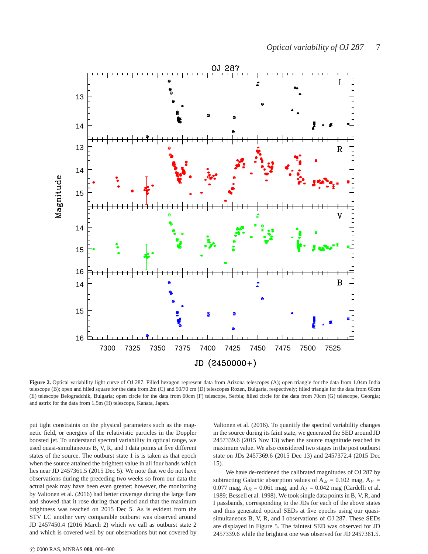

Figure 2. Optical variability light curve of OJ 287. Filled hexagon represent data from Arizona telescopes (A); open triangle for the data from 1.04m India telescope (B); open and filled square for the data from 2m (C) and 50/70 cm (D) telescopes Rozen, Bulgaria, respectively; filled triangle for the data from 60cm (E) telescope Belogradchik, Bulgaria; open circle for the data from 60cm (F) telescope, Serbia; filled circle for the data from 70cm (G) telescope, Georgia; and astrix for the data from 1.5m (H) telescope, Kanata, Japan.

put tight constraints on the physical parameters such as the magnetic field, or energies of the relativistic particles in the Doppler boosted jet. To understand spectral variability in optical range, we used quasi-simultaneous B, V, R, and I data points at five different states of the source. The outburst state 1 is is taken as that epoch when the source attained the brightest value in all four bands which lies near JD 2457361.5 (2015 Dec 5). We note that we do not have observations during the preceding two weeks so from our data the actual peak may have been even greater; however, the monitoring by Valtonen et al. (2016) had better coverage during the large flare and showed that it rose during that period and that the maximum brightness was reached on 2015 Dec 5. As is evident from the STV LC another very comparable outburst was observed around JD 2457450.4 (2016 March 2) which we call as outburst state 2 and which is covered well by our observations but not covered by Valtonen et al. (2016). To quantify the spectral variability changes in the source during its faint state, we generated the SED around JD 2457339.6 (2015 Nov 13) when the source magnitude reached its maximum value. We also considered two stages in the post outburst state on JDs 2457369.6 (2015 Dec 13) and 2457372.4 (2015 Dec 15).

We have de-reddened the calibrated magnitudes of OJ 287 by subtracting Galactic absorption values of  $A_B = 0.102$  mag,  $A_V =$ 0.077 mag,  $A_R = 0.061$  mag, and  $A_I = 0.042$  mag (Cardelli et al. 1989; Bessell et al. 1998). We took single data points in B, V, R, and I passbands, corresponding to the JDs for each of the above states and thus generated optical SEDs at five epochs using our quasisimultaneous B, V, R, and I observations of OJ 287. These SEDs are displayed in Figure 5. The faintest SED was observed for JD 2457339.6 while the brightest one was observed for JD 2457361.5.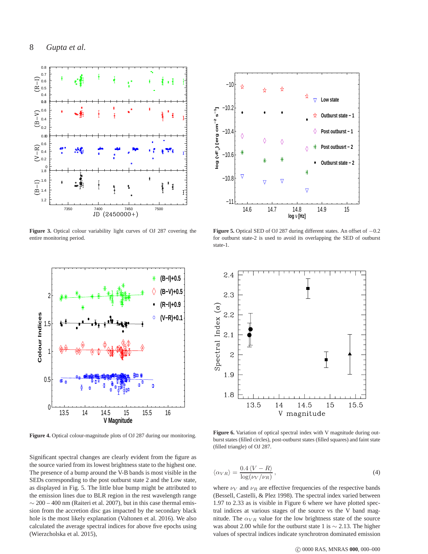

**Figure 3.** Optical colour variability light curves of OJ 287 covering the entire monitoring period.



Figure 4. Optical colour-magnitude plots of OJ 287 during our monitoring.

Significant spectral changes are clearly evident from the figure as the source varied from its lowest brightness state to the highest one. The presence of a bump around the V-B bands is most visible in the SEDs corresponding to the post outburst state 2 and the Low state, as displayed in Fig. 5. The little blue bump might be attributed to the emission lines due to BLR region in the rest wavelength range  $\sim$  200 – 400 nm (Raiteri et al. 2007), but in this case thermal emission from the accretion disc gas impacted by the secondary black hole is the most likely explanation (Valtonen et al. 2016). We also calculated the average spectral indices for above five epochs using (Wierzcholska et al. 2015),



**Figure 5.** Optical SED of OJ 287 during different states. An offset of −0.2 for outburst state-2 is used to avoid its overlapping the SED of outburst state-1.



Figure 6. Variation of optical spectral index with V magnitude during outburst states (filled circles), post-outburst states (filled squares) and faint state (filled triangle) of OJ 287.

$$
\langle \alpha_{VR} \rangle = \frac{0.4 \, \langle V - R \rangle}{\log(\nu_V / \nu_R)},\tag{4}
$$

where  $\nu_V$  and  $\nu_R$  are effective frequencies of the respective bands (Bessell, Castelli, & Plez 1998). The spectral index varied between 1.97 to 2.33 as is visible in Figure 6 where we have plotted spectral indices at various stages of the source vs the V band magnitude. The  $\alpha_{VR}$  value for the low brightness state of the source was about 2.00 while for the outburst state 1 is ∼ 2.13. The higher values of spectral indices indicate synchrotron dominated emission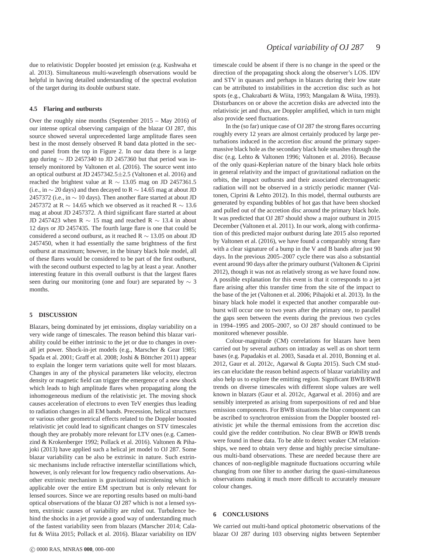due to relativistic Doppler boosted jet emission (e.g. Kushwaha et al. 2013). Simultaneous multi-wavelength observations would be helpful in having detailed understanding of the spectral evolution of the target during its double outburst state.

#### **4.5 Flaring and outbursts**

Over the roughly nine months (September 2015 – May 2016) of our intense optical observing campaign of the blazar OJ 287, this source showed several unprecedented large amplitude flares seen best in the most densely observed R band data plotted in the second panel from the top in Figure 2. In our data there is a large gap during  $\sim$  JD 2457340 to JD 2457360 but that period was intensely monitored by Valtonen et al. (2016). The source went into an optical outburst at JD 2457342.5±2.5 (Valtonen et al. 2016) and reached the brightest value at R  $\sim$  13.05 mag on JD 2457361.5 (i.e., in  $\sim$  20 days) and then decayed to R  $\sim$  14.65 mag at about JD 2457372 (i.e., in  $\sim$  10 days). Then another flare started at about JD 2457372 at R  $\sim$  14.65 which we observed as it reached R  $\sim$  13.6 mag at about JD 2457372. A third significant flare started at about JD 2457423 when R  $\sim$  15 mag and reached R  $\sim$  13.4 in about 12 days or JD 2457435. The fourth large flare is one that could be considered a second outburst, as it reached R  $\sim$  13.05 on about JD 2457450, when it had essentially the same brightness of the first outburst at maximum; however, in the binary black hole model, all of these flares would be considered to be part of the first outburst, with the second outburst expected to lag by at least a year. Another interesting feature in this overall outburst is that the largest flares seen during our monitoring (one and four) are separated by  $\sim$  3 months.

#### **5 DISCUSSION**

Blazars, being dominated by jet emissions, display variability on a very wide range of timescales. The reason behind this blazar variability could be either intrinsic to the jet or due to changes in overall jet power. Shock-in-jet models (e.g., Marscher & Gear 1985; Spada et al. 2001; Graff et al. 2008; Joshi & Böttcher 2011) appear to explain the longer term variations quite well for most blazars. Changes in any of the physical parameters like velocity, electron density or magnetic field can trigger the emergence of a new shock which leads to high amplitude flares when propagating along the inhomogeneous medium of the relativistic jet. The moving shock causes acceleration of electrons to even TeV energies thus leading to radiation changes in all EM bands. Precession, helical structures or various other geometrical effects related to the Doppler boosted relativistic jet could lead to significant changes on STV timescales though they are probably more relevant for LTV ones (e.g. Camenzind & Krokenberger 1992; Pollack et al. 2016). Valtonen & Pihajoki (2013) have applied such a helical jet model to OJ 287. Some blazar variability can be also be extrinsic in nature. Such extrinsic mechanisms include refractive interstellar scintillations which, however, is only relevant for low frequency radio observations. Another extrinsic mechanism is gravitational microlensing which is applicable over the entire EM spectrum but is only relevant for lensed sources. Since we are reporting results based on multi-band optical observations of the blazar OJ 287 which is not a lensed system, extrinsic causes of variability are ruled out. Turbulence behind the shocks in a jet provide a good way of understanding much of the fastest variability seen from blazars (Marscher 2014; Calafut & Wiita 2015; Pollack et al. 2016). Blazar variability on IDV timescale could be absent if there is no change in the speed or the direction of the propagating shock along the observer's LOS. IDV and STV in quasars and perhaps in blazars during their low state can be attributed to instabilities in the accretion disc such as hot spots (e.g., Chakrabarti & Wiita, 1993; Mangalam & Wiita, 1993). Disturbances on or above the accretion disks are advected into the relativistic jet and thus, are Doppler amplified, which in turn might also provide seed fluctuations.

In the (so far) unique case of OJ 287 the strong flares occurring roughly every 12 years are almost certainly produced by large perturbations induced in the accretion disc around the primary supermassive black hole as the secondary black hole smashes through the disc (e.g. Lehto & Valtonen 1996; Valtonen et al. 2016). Because of the only quasi-Keplerian nature of the binary black hole orbits in general relativity and the impact of gravitational radiation on the orbits, the impact outbursts and their associated electromagnetic radiation will not be observed in a strictly periodic manner (Valtonen, Ciprini & Lehto 2012). In this model, thermal outbursts are generated by expanding bubbles of hot gas that have been shocked and pulled out of the accretion disc around the primary black hole. It was predicted that OJ 287 should show a major outburst in 2015 December (Valtonen et al. 2011). In our work, along with confirmation of this predicted major outburst during late 2015 also reported by Valtonen et al. (2016), we have found a comparably strong flare with a clear signature of a bump in the V and B bands after just 90 days. In the previous 2005–2007 cycle there was also a substantial event around 90 days after the primary outburst (Valtonen & Ciprini 2012), though it was not as relatively strong as we have found now. A possible explanation for this event is that it corresponds to a jet flare arising after this transfer time from the site of the impact to the base of the jet (Valtonen et al. 2006; Pihajoki et al. 2013). In the binary black hole model it expected that another comparable outburst will occur one to two years after the primary one, to parallel the gaps seen between the events during the previous two cycles in 1994–1995 and 2005–2007, so OJ 287 should continued to be monitored whenever possible.

Colour-magnitude (CM) correlations for blazars have been carried out by several authors on intraday as well as on short term bases (e.g. Papadakis et al. 2003, Sasada et al. 2010, Bonning et al. 2012, Gaur et al. 2012c, Agarwal & Gupta 2015). Such CM studies can elucidate the reason behind aspects of blazar variability and also help us to explore the emitting region. Significant BWB/RWB trends on diverse timescales with different slope values are well known in blazars (Gaur et al. 2012c, Agarwal et al. 2016) and are sensibly interpreted as arising from superpositions of red and blue emission components. For BWB situations the blue component can be ascribed to synchrotron emission from the Doppler boosted relativistic jet while the thermal emissions from the accretion disc could give the redder contribution. No clear BWB or RWB trends were found in these data. To be able to detect weaker CM relationships, we need to obtain very dense and highly precise simultaneous multi-band observations. These are needed because there are chances of non-negligible magnitude fluctuations occurring while changing from one filter to another during the quasi-simultaneous observations making it much more difficult to accurately measure colour changes.

# **6 CONCLUSIONS**

We carried out multi-band optical photometric observations of the blazar OJ 287 during 103 observing nights between September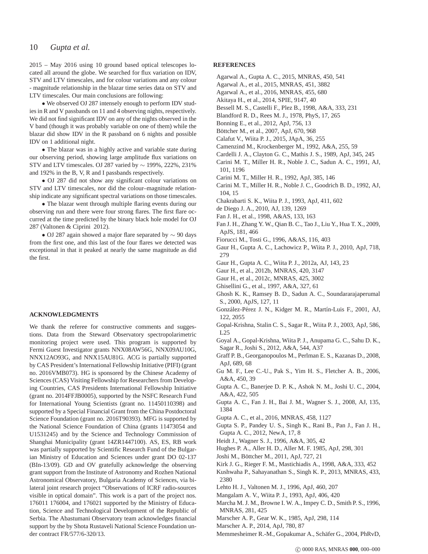# 10 *Gupta et al.*

2015 – May 2016 using 10 ground based optical telescopes located all around the globe. We searched for flux variation on IDV, STV and LTV timescales, and for colour variations and any colour - magnitude relationship in the blazar time series data on STV and LTV timescales. Our main conclusions are following:

• We observed OJ 287 intensely enough to perform IDV studies in R and V passbands on 11 and 4 observing nights, respectively. We did not find significant IDV on any of the nights observed in the V band (though it was probably variable on one of them) while the blazar did show IDV in the R passband on 6 nights and possible IDV on 1 additional night.

• The blazar was in a highly active and variable state during our observing period, showing large amplitude flux variations on STV and LTV timescales. OJ 287 varied by ∼ 199%, 222%, 231% and 192% in the B, V, R and I passbands respectively.

• OJ 287 did not show any significant colour variations on STV and LTV timescales, nor did the colour–magnitude relationship indicate any significant spectral variations on those timescales.

• The blazar went through multiple flaring events during our observing run and there were four strong flares. The first flare occurred at the time predicted by the binary black hole model for OJ 287 (Valtonen & Ciprini 2012).

• OJ 287 again showed a major flare separated by ∼ 90 days from the first one, and this last of the four flares we detected was exceptional in that it peaked at nearly the same magnitude as did the first.

# **ACKNOWLEDGMENTS**

We thank the referee for constructive comments and suggestions. Data from the Steward Observatory spectropolarimetric monitoring project were used. This program is supported by Fermi Guest Investigator grants NNX08AW56G, NNX09AU10G, NNX12AO93G, and NNX15AU81G. ACG is partially supported by CAS President's International Fellowship Initiative (PIFI) (grant no. 2016VMB073). HG is sponsored by the Chinese Academy of Sciences (CAS) Visiting Fellowship for Researchers from Developing Countries, CAS Presidents International Fellowship Initiative (grant no. 2014FFJB0005), supported by the NSFC Research Fund for International Young Scientists (grant no. 11450110398) and supported by a Special Financial Grant from the China Postdoctoral Science Foundation (grant no. 2016T90393). MFG is supported by the National Science Foundation of China (grants 11473054 and U1531245) and by the Science and Technology Commission of Shanghai Municipality (grant 14ZR1447100). AS, ES, RB work was partially supported by Scientific Research Fund of the Bulgarian Ministry of Education and Sciences under grant DO 02-137 (BIn-13/09). GD and OV gratefully acknowledge the observing grant support from the Institute of Astronomy and Rozhen National Astronomical Observatory, Bulgaria Academy of Sciences, via bilateral joint research project "Observations of ICRF radio-sources visible in optical domain". This work is a part of the project nos. 176011 176004, and 176021 supported by the Ministry of Education, Science and Technological Development of the Republic of Serbia. The Abastumani Observatory team acknowledges financial support by the by Shota Rustaveli National Science Foundation under contract FR/577/6-320/13.

# **REFERENCES**

- Agarwal A., Gupta A. C., 2015, MNRAS, 450, 541
- Agarwal A., et al., 2015, MNRAS, 451, 3882
- Agarwal A., et al., 2016, MNRAS, 455, 680
- Akitaya H., et al., 2014, SPIE, 9147, 40
- Bessell M. S., Castelli F., Plez B., 1998, A&A, 333, 231
- Blandford R. D., Rees M. J., 1978, PhyS, 17, 265
- Bonning E., et al., 2012, ApJ, 756, 13
- Böttcher M., et al., 2007, ApJ, 670, 968
- Calafut V., Wiita P. J., 2015, JApA, 36, 255
- Camenzind M., Krockenberger M., 1992, A&A, 255, 59
- Cardelli J. A., Clayton G. C., Mathis J. S., 1989, ApJ, 345, 245
- Carini M. T., Miller H. R., Noble J. C., Sadun A. C., 1991, AJ, 101, 1196
- Carini M. T., Miller H. R., 1992, ApJ, 385, 146
- Carini M. T., Miller H. R., Noble J. C., Goodrich B. D., 1992, AJ, 104, 15
- Chakrabarti S. K., Wiita P. J., 1993, ApJ, 411, 602
- de Diego J. A., 2010, AJ, 139, 1269
- Fan J. H., et al., 1998, A&AS, 133, 163
- Fan J. H., Zhang Y. W., Qian B. C., Tao J., Liu Y., Hua T. X., 2009, ApJS, 181, 466
- Fiorucci M., Tosti G., 1996, A&AS, 116, 403
- Gaur H., Gupta A. C., Lachowicz P., Wiita P. J., 2010, ApJ, 718, 279
- Gaur H., Gupta A. C., Wiita P. J., 2012a, AJ, 143, 23
- Gaur H., et al., 2012b, MNRAS, 420, 3147
- Gaur H., et al., 2012c, MNRAS, 425, 3002
- Ghisellini G., et al., 1997, A&A, 327, 61
- Ghosh K. K., Ramsey B. D., Sadun A. C., Soundararajaperumal S., 2000, ApJS, 127, 11
- González-Pérez J. N., Kidger M. R., Martín-Luis F., 2001, AJ, 122, 2055
- Gopal-Krishna, Stalin C. S., Sagar R., Wiita P. J., 2003, ApJ, 586, L25
- Goyal A., Gopal-Krishna, Wiita P. J., Anupama G. C., Sahu D. K., Sagar R., Joshi S., 2012, A&A, 544, A37
- Graff P. B., Georganopoulos M., Perlman E. S., Kazanas D., 2008, ApJ, 689, 68
- Gu M. F., Lee C.-U., Pak S., Yim H. S., Fletcher A. B., 2006, A&A, 450, 39
- Gupta A. C., Banerjee D. P. K., Ashok N. M., Joshi U. C., 2004, A&A, 422, 505
- Gupta A. C., Fan J. H., Bai J. M., Wagner S. J., 2008, AJ, 135, 1384
- Gupta A. C., et al., 2016, MNRAS, 458, 1127
- Gupta S. P., Pandey U. S., Singh K., Rani B., Pan J., Fan J. H., Gupta A. C., 2012, NewA, 17, 8
- Heidt J., Wagner S. J., 1996, A&A, 305, 42
- Hughes P. A., Aller H. D., Aller M. F. 1985, ApJ, 298, 301
- Joshi M., Böttcher M., 2011, ApJ, 727, 21
- Kirk J. G., Rieger F. M., Mastichiadis A., 1998, A&A, 333, 452
- Kushwaha P., Sahayanathan S., Singh K. P., 2013, MNRAS, 433, 2380
- Lehto H. J., Valtonen M. J., 1996, ApJ, 460, 207
- Mangalam A. V., Wiita P. J., 1993, ApJ, 406, 420
- Marcha M. J. M., Browne I. W. A., Impey C. D., Smith P. S., 1996, MNRAS, 281, 425
- Marscher A. P., Gear W. K., 1985, ApJ, 298, 114
- Marscher A. P., 2014, ApJ, 780, 87
- Memmesheimer R.-M., Gopakumar A., Schäfer G., 2004, PhRvD,